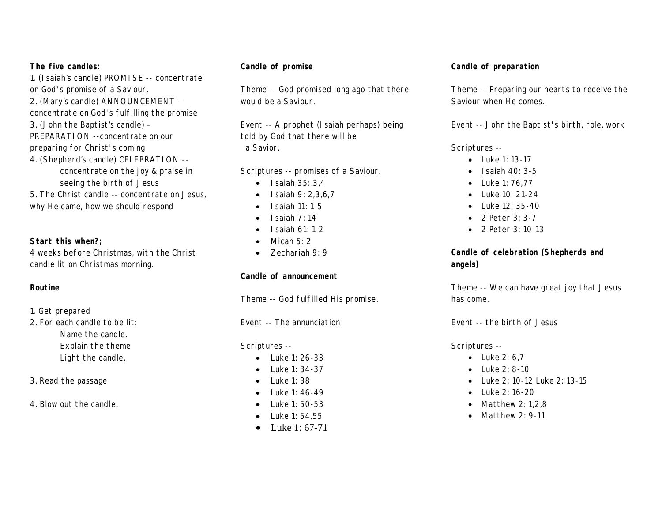#### **The five candles:**

1. (Isaiah's candle) PROMISE -- concentrate on God's promise of a Saviour. 2. (Mary's candle) ANNOUNCEMENT - concentrate on God's fulfilling the promise 3. (John the Baptist's candle) – PREPARATION --concentrate on our preparing for Christ's coming 4. (Shepherd's candle) CELEBRATION - concentrate on the joy & praise in seeing the birth of Jesus 5. The Christ candle -- concentrate on Jesus, why He came, how we should respond

**Start this when?;** 4 weeks before Christmas, with the Christ candle lit on Christmas morning.

### **Routine**

1. Get prepared

2. For each candle to be lit: Name the candle. Explain the theme Light the candle.

- 3. Read the passage
- 4. Blow out the candle.

# **Candle of promise**

Theme -- God promised long ago that there would be a Saviour.

Event -- A prophet (Isaiah perhaps) being told by God that there will be a Savior.

Scriptures -- promises of a Saviour.

- · Isaiah 35: 3,4
- · Isaiah 9: 2,3,6,7
- $\bullet$  Isaiah 11: 1-5
- $\bullet$  Isaiah  $7 \cdot 14$
- $\bullet$  Isaiah 61: 1-2
- $\bullet$  Micah 5: 2
- · Zechariah 9: 9

**Candle of announcement**

Theme -- God fulfilled His promise.

Event -- The annunciation

Scriptures --

- $\bullet$  Luke 1: 26-33
- · Luke 1: 34-37
- · Luke 1: 38
- Luke 1: 46-49
- · Luke 1: 50-53
- · Luke 1: 54,55
- Luke 1: 67-71

# **Candle of preparation**

Theme -- Preparing our hearts to receive the Saviour when He comes.

Event -- John the Baptist's birth, role, work

Scriptures --

- · Luke 1: 13-17
- · Isaiah 40: 3-5
- · Luke 1: 76,77
- Luke 10: 21-24
- · Luke 12: 35-40
- · 2 Peter 3: 3-7
- · 2 Peter 3: 10-13

**Candle of celebration (Shepherds and angels)**

Theme -- We can have great joy that Jesus has come.

Event -- the birth of Jesus

Scriptures --

- Luke 2: 6.7
- · Luke 2: 8-10
- · Luke 2: 10-12 Luke 2: 13-15
- · Luke 2: 16-20
- · Matthew 2: 1,2,8
- · Matthew 2: 9-11